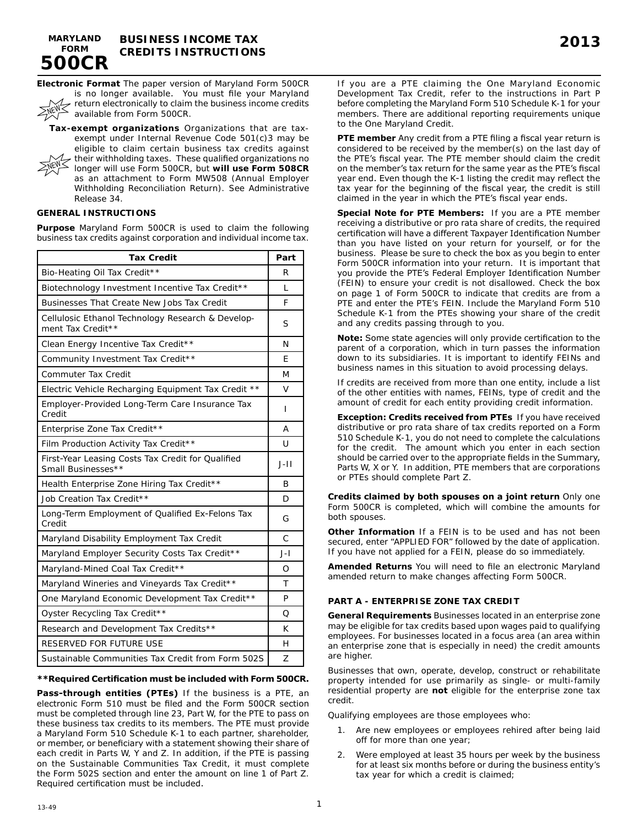

**SNEW** 

**Electronic Format** The paper version of Maryland Form 500CR is no longer available. You must file your Maryland return electronically to claim the business income credits available from Form 500CR.

**Tax-exempt organizations** Organizations that are taxexempt under Internal Revenue Code 501(c)3 may be eligible to claim certain business tax credits against their withholding taxes. These qualified organizations no longer will use Form 500CR, but **will use Form 508CR**  as an attachment to Form MW508 (Annual Employer Withholding Reconciliation Return). See Administrative Release 34. **NEW** 

## **GENERAL INSTRUCTIONS**

**Purpose** Maryland Form 500CR is used to claim the following business tax credits against corporation and individual income tax.

| <b>Tax Credit</b>                                                       | Part  |  |  |
|-------------------------------------------------------------------------|-------|--|--|
| Bio-Heating Oil Tax Credit**                                            | R     |  |  |
| Biotechnology Investment Incentive Tax Credit**                         | L     |  |  |
| Businesses That Create New Jobs Tax Credit                              | F     |  |  |
| Cellulosic Ethanol Technology Research & Develop-<br>ment Tax Credit**  |       |  |  |
| Clean Energy Incentive Tax Credit**                                     | N     |  |  |
| Community Investment Tax Credit**                                       | F     |  |  |
| <b>Commuter Tax Credit</b>                                              | M     |  |  |
| Electric Vehicle Recharging Equipment Tax Credit **                     | V     |  |  |
| Employer-Provided Long-Term Care Insurance Tax<br>Credit                | I     |  |  |
| Enterprise Zone Tax Credit**                                            | Α     |  |  |
| Film Production Activity Tax Credit**                                   | U     |  |  |
| First-Year Leasing Costs Tax Credit for Qualified<br>Small Businesses** | $J-I$ |  |  |
| Health Enterprise Zone Hiring Tax Credit**                              | B     |  |  |
| Job Creation Tax Credit**                                               | D     |  |  |
| Long-Term Employment of Qualified Ex-Felons Tax<br>Credit               | G     |  |  |
| Maryland Disability Employment Tax Credit                               | C     |  |  |
| Maryland Employer Security Costs Tax Credit**                           | $J-I$ |  |  |
| Maryland-Mined Coal Tax Credit**                                        | Ω     |  |  |
| Maryland Wineries and Vineyards Tax Credit**                            | т     |  |  |
| One Maryland Economic Development Tax Credit**                          | P     |  |  |
| Oyster Recycling Tax Credit**                                           | Ο     |  |  |
| Research and Development Tax Credits**                                  | K     |  |  |
| RESERVED FOR FUTURE USE                                                 | н     |  |  |
| Sustainable Communities Tax Credit from Form 502S                       | Z     |  |  |

#### **\*\*Required Certification must be included with Form 500CR.**

**Pass-through entities (PTEs)** If the business is a PTE, an electronic Form 510 must be filed and the Form 500CR section must be completed through line 23, Part W, for the PTE to pass on these business tax credits to its members. The PTE must provide a Maryland Form 510 Schedule K-1 to each partner, shareholder, or member, or beneficiary with a statement showing their share of each credit in Parts W, Y and Z. In addition, if the PTE is passing on the Sustainable Communities Tax Credit, it must complete the Form 502S section and enter the amount on line 1 of Part Z. Required certification must be included.

If you are a PTE claiming the One Maryland Economic Development Tax Credit, refer to the instructions in Part P before completing the Maryland Form 510 Schedule K-1 for your members. There are additional reporting requirements unique to the One Maryland Credit.

**PTE member** Any credit from a PTE filing a fiscal year return is considered to be received by the member(s) on the last day of the PTE's fiscal year. The PTE member should claim the credit on the member's tax return for the same year as the PTE's fiscal year end. Even though the K-1 listing the credit may reflect the tax year for the beginning of the fiscal year, the credit is still claimed in the year in which the PTE's fiscal year ends.

**Special Note for PTE Members:** If you are a PTE member receiving a distributive or pro rata share of credits, the required certification will have a different Taxpayer Identification Number than you have listed on your return for yourself, or for the business. Please be sure to check the box as you begin to enter Form 500CR information into your return. It is important that you provide the PTE's Federal Employer Identification Number (FEIN) to ensure your credit is not disallowed. Check the box on page 1 of Form 500CR to indicate that credits are from a PTE and enter the PTE's FEIN. Include the Maryland Form 510 Schedule K-1 from the PTEs showing your share of the credit and any credits passing through to you.

**Note:** Some state agencies will only provide certification to the parent of a corporation, which in turn passes the information down to its subsidiaries. It is important to identify FEINs and business names in this situation to avoid processing delays.

If credits are received from more than one entity, include a list of the other entities with names, FEINs, type of credit and the amount of credit for each entity providing credit information.

**Exception: Credits received from PTEs** If you have received distributive or pro rata share of tax credits reported on a Form 510 Schedule K-1, you do not need to complete the calculations for the credit. The amount which you enter in each section should be carried over to the appropriate fields in the Summary, Parts W, X or Y. In addition, PTE members that are corporations or PTEs should complete Part Z.

**Credits claimed by both spouses on a joint return** Only one Form 500CR is completed, which will combine the amounts for both spouses.

**Other Information** If a FEIN is to be used and has not been secured, enter "APPLIED FOR" followed by the date of application. If you have not applied for a FEIN, please do so immediately.

**Amended Returns** You will need to file an electronic Maryland amended return to make changes affecting Form 500CR.

### **PART A - ENTERPRISE ZONE TAX CREDIT**

**General Requirements** Businesses located in an enterprise zone may be eligible for tax credits based upon wages paid to qualifying employees. For businesses located in a focus area (an area within an enterprise zone that is especially in need) the credit amounts are higher.

Businesses that own, operate, develop, construct or rehabilitate property intended for use primarily as single- or multi-family residential property are **not** eligible for the enterprise zone tax credit.

Qualifying employees are those employees who:

- 1. Are new employees or employees rehired after being laid off for more than one year;
- 2. Were employed at least 35 hours per week by the business for at least six months before or during the business entity's tax year for which a credit is claimed;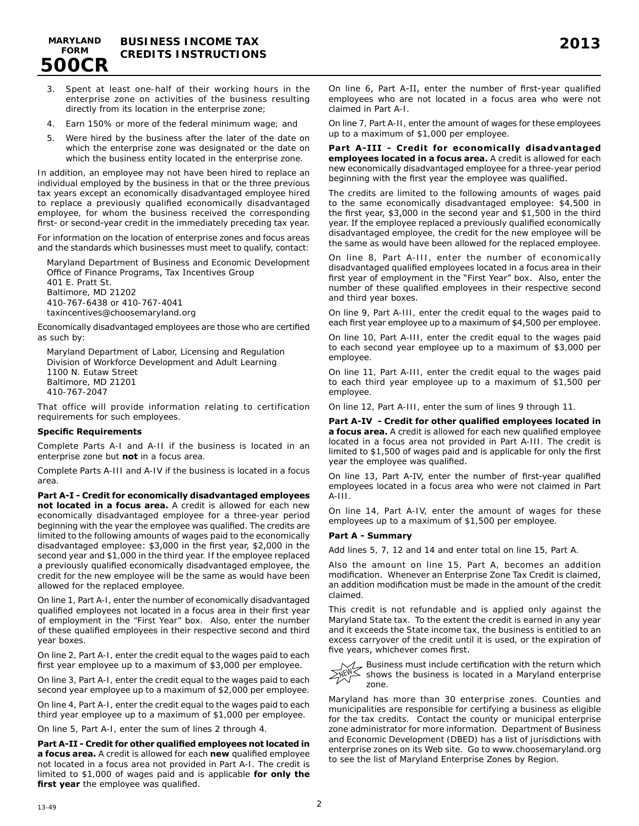

- 3. Spent at least one-half of their working hours in the enterprise zone on activities of the business resulting directly from its location in the enterprise zone;
- 4. Earn 150% or more of the federal minimum wage; and
- 5. Were hired by the business after the later of the date on which the enterprise zone was designated or the date on which the business entity located in the enterprise zone.

In addition, an employee may not have been hired to replace an individual employed by the business in that or the three previous tax years except an economically disadvantaged employee hired to replace a previously qualified economically disadvantaged employee, for whom the business received the corresponding first- or second-year credit in the immediately preceding tax year.

For information on the location of enterprise zones and focus areas and the standards which businesses must meet to qualify, contact:

Maryland Department of Business and Economic Development Office of Finance Programs, Tax Incentives Group 401 E. Pratt St. Baltimore, MD 21202 410-767-6438 or 410-767-4041

taxincentives@choosemaryland.org

Economically disadvantaged employees are those who are certified as such by:

Maryland Department of Labor, Licensing and Regulation Division of Workforce Development and Adult Learning 1100 N. Eutaw Street Baltimore, MD 21201 410-767-2047

That office will provide information relating to certification requirements for such employees.

#### **Specific Requirements**

Complete Parts A-I and A-II if the business is located in an enterprise zone but **not** in a focus area.

Complete Parts A-III and A-IV if the business is located in a focus area.

**Part A-I - Credit for economically disadvantaged employees not located in a focus area.** A credit is allowed for each new economically disadvantaged employee for a three-year period beginning with the year the employee was qualified. The credits are limited to the following amounts of wages paid to the economically disadvantaged employee: \$3,000 in the first year, \$2,000 in the second year and \$1,000 in the third year. If the employee replaced a previously qualified economically disadvantaged employee, the credit for the new employee will be the same as would have been allowed for the replaced employee.

On line 1, Part A-I, enter the number of economically disadvantaged qualified employees not located in a focus area in their first year of employment in the "First Year" box. Also, enter the number of these qualified employees in their respective second and third year boxes.

On line 2, Part A-I, enter the credit equal to the wages paid to each first year employee up to a maximum of \$3,000 per employee.

On line 3, Part A-I, enter the credit equal to the wages paid to each second year employee up to a maximum of \$2,000 per employee.

On line 4, Part A-I, enter the credit equal to the wages paid to each third year employee up to a maximum of \$1,000 per employee.

On line 5, Part A-I, enter the sum of lines 2 through 4.

**Part A-II - Credit for other qualified employees not located in a focus area.** A credit is allowed for each **new** qualified employee not located in a focus area not provided in Part A-I. The credit is limited to \$1,000 of wages paid and is applicable **for only the first year** the employee was qualified.

On line 6, Part A-II, enter the number of first-year qualified employees who are not located in a focus area who were not claimed in Part A-I.

On line 7, Part A-II, enter the amount of wages for these employees up to a maximum of \$1,000 per employee.

**Part A-III - Credit for economically disadvantaged employees located in a focus area.** A credit is allowed for each new economically disadvantaged employee for a three-year period beginning with the first year the employee was qualified.

The credits are limited to the following amounts of wages paid to the same economically disadvantaged employee: \$4,500 in the first year, \$3,000 in the second year and \$1,500 in the third year. If the employee replaced a previously qualified economically disadvantaged employee, the credit for the new employee will be the same as would have been allowed for the replaced employee.

On line 8, Part A-III, enter the number of economically disadvantaged qualified employees located in a focus area in their first year of employment in the "First Year" box. Also, enter the number of these qualified employees in their respective second and third year boxes.

On line 9, Part A-III, enter the credit equal to the wages paid to each first year employee up to a maximum of \$4,500 per employee.

On line 10, Part A-III, enter the credit equal to the wages paid to each second year employee up to a maximum of \$3,000 per employee.

On line 11, Part A-III, enter the credit equal to the wages paid to each third year employee up to a maximum of \$1,500 per employee.

On line 12, Part A-III, enter the sum of lines 9 through 11.

**Part A-IV - Credit for other qualified employees located in a focus area.** A credit is allowed for each new qualified employee located in a focus area not provided in Part A-III. The credit is limited to \$1,500 of wages paid and is applicable for only the first year the employee was qualified.

On line 13, Part A-IV, enter the number of first-year qualified employees located in a focus area who were not claimed in Part A-III.

On line 14, Part A-IV, enter the amount of wages for these employees up to a maximum of \$1,500 per employee.

#### **Part A - Summary**

Add lines 5, 7, 12 and 14 and enter total on line 15, Part A.

Also the amount on line 15, Part A, becomes an addition modification. Whenever an Enterprise Zone Tax Credit is claimed, an addition modification must be made in the amount of the credit claimed.

This credit is not refundable and is applied only against the Maryland State tax. To the extent the credit is earned in any year and it exceeds the State income tax, the business is entitled to an excess carryover of the credit until it is used, or the expiration of five years, whichever comes first.

Business must include certification with the return which  $\leq$  shows the business is located in a Maryland enterprise zone. **NEW** 

Maryland has more than 30 enterprise zones. Counties and municipalities are responsible for certifying a business as eligible for the tax credits. Contact the county or municipal enterprise zone administrator for more information. Department of Business and Economic Development (DBED) has a list of jurisdictions with enterprise zones on its Web site. Go to www.choosemaryland.org to see the list of Maryland Enterprise Zones by Region.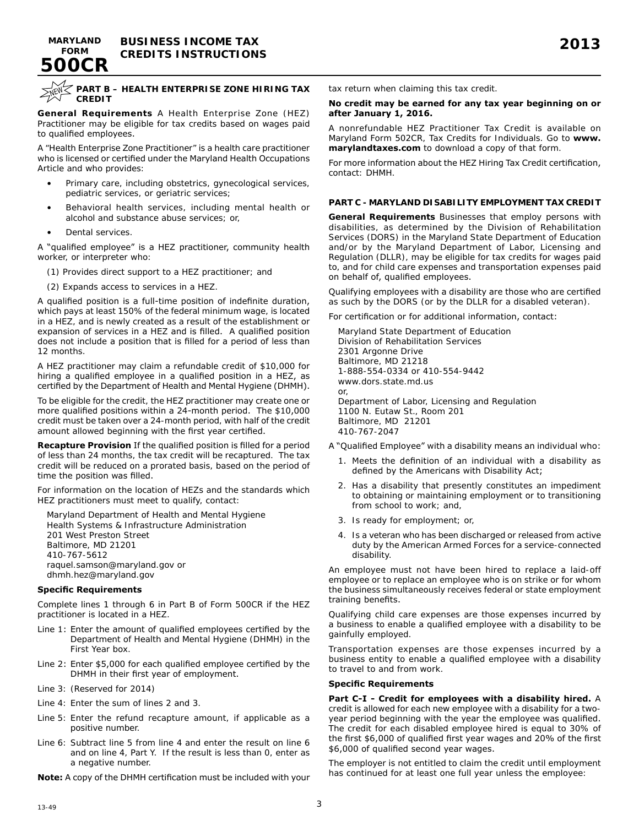



**MARYLAND 500CR**

#### **PART B – HEALTH ENTERPRISE ZONE HIRING TAX CREDIT**

**General Requirements** A Health Enterprise Zone (HEZ) Practitioner may be eligible for tax credits based on wages paid to qualified employees.

A "Health Enterprise Zone Practitioner" is a health care practitioner who is licensed or certified under the Maryland Health Occupations Article and who provides:

- Primary care, including obstetrics, gynecological services, pediatric services, or geriatric services;
- Behavioral health services, including mental health or alcohol and substance abuse services; or,
- Dental services.

A "qualified employee" is a HEZ practitioner, community health worker, or interpreter who:

(1) Provides direct support to a HEZ practitioner; and

(2) Expands access to services in a HEZ.

A qualified position is a full-time position of indefinite duration, which pays at least 150% of the federal minimum wage, is located in a HEZ, and is newly created as a result of the establishment or expansion of services in a HEZ and is filled. A qualified position does not include a position that is filled for a period of less than 12 months.

A HEZ practitioner may claim a refundable credit of \$10,000 for hiring a qualified employee in a qualified position in a HEZ, as certified by the Department of Health and Mental Hygiene (DHMH).

To be eligible for the credit, the HEZ practitioner may create one or more qualified positions within a 24-month period. The \$10,000 credit must be taken over a 24-month period, with half of the credit amount allowed beginning with the first year certified.

**Recapture Provision** If the qualified position is filled for a period of less than 24 months, the tax credit will be recaptured. The tax credit will be reduced on a prorated basis, based on the period of time the position was filled.

For information on the location of HEZs and the standards which HEZ practitioners must meet to qualify, contact:

Maryland Department of Health and Mental Hygiene Health Systems & Infrastructure Administration 201 West Preston Street Baltimore, MD 21201 410-767-5612 raquel.samson@maryland.gov or dhmh.hez@maryland.gov

### **Specific Requirements**

Complete lines 1 through 6 in Part B of Form 500CR if the HEZ practitioner is located in a HEZ.

- Line 1: Enter the amount of qualified employees certified by the Department of Health and Mental Hygiene (DHMH) in the First Year box.
- Line 2: Enter \$5,000 for each qualified employee certified by the DHMH in their first year of employment.
- Line 3: (Reserved for 2014)
- Line 4: Enter the sum of lines 2 and 3.
- Line 5: Enter the refund recapture amount, if applicable as a positive number.
- Line 6: Subtract line 5 from line 4 and enter the result on line 6 and on line 4, Part Y. If the result is less than 0, enter as a negative number.

**Note:** A copy of the DHMH certification must be included with your

tax return when claiming this tax credit.

#### **No credit may be earned for any tax year beginning on or after January 1, 2016.**

A nonrefundable HEZ Practitioner Tax Credit is available on Maryland Form 502CR, Tax Credits for Individuals. Go to **www. marylandtaxes.com** to download a copy of that form.

For more information about the HEZ Hiring Tax Credit certification, contact: DHMH.

### **PART C - MARYLAND DISABILITY EMPLOYMENT TAX CREDIT**

**General Requirements** Businesses that employ persons with disabilities, as determined by the Division of Rehabilitation Services (DORS) in the Maryland State Department of Education and/or by the Maryland Department of Labor, Licensing and Regulation (DLLR), may be eligible for tax credits for wages paid to, and for child care expenses and transportation expenses paid on behalf of, qualified employees.

Qualifying employees with a disability are those who are certified as such by the DORS (or by the DLLR for a disabled veteran).

For certification or for additional information, contact:

Maryland State Department of Education Division of Rehabilitation Services 2301 Argonne Drive Baltimore, MD 21218 1-888-554-0334 or 410-554-9442 www.dors.state.md.us or, Department of Labor, Licensing and Regulation 1100 N. Eutaw St., Room 201 Baltimore, MD 21201 410-767-2047

- A "Qualified Employee" with a disability means an individual who:
	- 1. Meets the definition of an individual with a disability as defined by the Americans with Disability Act;
	- 2. Has a disability that presently constitutes an impediment to obtaining or maintaining employment or to transitioning from school to work; and,
	- 3. Is ready for employment; or,
	- 4. Is a veteran who has been discharged or released from active duty by the American Armed Forces for a service-connected disability.

An employee must not have been hired to replace a laid-off employee or to replace an employee who is on strike or for whom the business simultaneously receives federal or state employment training benefits.

Qualifying child care expenses are those expenses incurred by a business to enable a qualified employee with a disability to be gainfully employed.

Transportation expenses are those expenses incurred by a business entity to enable a qualified employee with a disability to travel to and from work.

#### **Specific Requirements**

**Part C-I - Credit for employees with a disability hired.** A credit is allowed for each new employee with a disability for a twoyear period beginning with the year the employee was qualified. The credit for each disabled employee hired is equal to 30% of the first \$6,000 of qualified first year wages and 20% of the first \$6,000 of qualified second year wages.

The employer is not entitled to claim the credit until employment has continued for at least one full year unless the employee: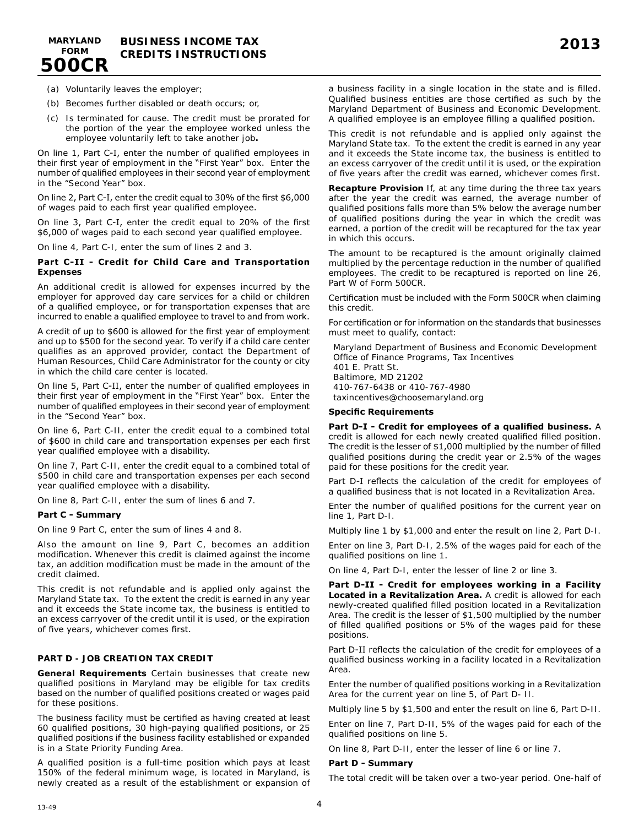

- (a) Voluntarily leaves the employer;
- (b) Becomes further disabled or death occurs; or,
- (c) Is terminated for cause. The credit must be prorated for the portion of the year the employee worked unless the employee voluntarily left to take another job**.**

On line 1, Part C-I, enter the number of qualified employees in their first year of employment in the "First Year" box. Enter the number of qualified employees in their second year of employment in the "Second Year" box.

On line 2, Part C-I, enter the credit equal to 30% of the first \$6,000 of wages paid to each first year qualified employee.

On line 3, Part C-I, enter the credit equal to 20% of the first \$6,000 of wages paid to each second year qualified employee.

On line 4, Part C-I, enter the sum of lines 2 and 3.

### **Part C-II - Credit for Child Care and Transportation Expenses**

An additional credit is allowed for expenses incurred by the employer for approved day care services for a child or children of a qualified employee, or for transportation expenses that are incurred to enable a qualified employee to travel to and from work.

A credit of up to \$600 is allowed for the first year of employment and up to \$500 for the second year. To verify if a child care center qualifies as an approved provider, contact the Department of Human Resources, Child Care Administrator for the county or city in which the child care center is located.

On line 5, Part C-II, enter the number of qualified employees in their first year of employment in the "First Year" box. Enter the number of qualified employees in their second year of employment in the "Second Year" box.

On line 6, Part C-II, enter the credit equal to a combined total of \$600 in child care and transportation expenses per each first year qualified employee with a disability.

On line 7, Part C-II, enter the credit equal to a combined total of \$500 in child care and transportation expenses per each second year qualified employee with a disability.

On line 8, Part C-II, enter the sum of lines 6 and 7.

### **Part C - Summary**

On line 9 Part C, enter the sum of lines 4 and 8.

Also the amount on line 9, Part C, becomes an addition modification. Whenever this credit is claimed against the income tax, an addition modification must be made in the amount of the credit claimed.

This credit is not refundable and is applied only against the Maryland State tax. To the extent the credit is earned in any year and it exceeds the State income tax, the business is entitled to an excess carryover of the credit until it is used, or the expiration of five years, whichever comes first.

#### **PART D - JOB CREATION TAX CREDIT**

**General Requirements** Certain businesses that create new qualified positions in Maryland may be eligible for tax credits based on the number of qualified positions created or wages paid for these positions.

The business facility must be certified as having created at least 60 qualified positions, 30 high-paying qualified positions, or 25 qualified positions if the business facility established or expanded is in a State Priority Funding Area.

A qualified position is a full-time position which pays at least 150% of the federal minimum wage, is located in Maryland, is newly created as a result of the establishment or expansion of

a business facility in a single location in the state and is filled. Qualified business entities are those certified as such by the Maryland Department of Business and Economic Development. A qualified employee is an employee filling a qualified position.

This credit is not refundable and is applied only against the Maryland State tax. To the extent the credit is earned in any year and it exceeds the State income tax, the business is entitled to an excess carryover of the credit until it is used, or the expiration of five years after the credit was earned, whichever comes first.

**Recapture Provision** If, at any time during the three tax years after the year the credit was earned, the average number of qualified positions falls more than 5% below the average number of qualified positions during the year in which the credit was earned, a portion of the credit will be recaptured for the tax year in which this occurs.

The amount to be recaptured is the amount originally claimed multiplied by the percentage reduction in the number of qualified employees. The credit to be recaptured is reported on line 26, Part W of Form 500CR.

Certification must be included with the Form 500CR when claiming this credit.

For certification or for information on the standards that businesses must meet to qualify, contact:

Maryland Department of Business and Economic Development Office of Finance Programs, Tax Incentives 401 E. Pratt St. Baltimore, MD 21202 410-767-6438 or 410-767-4980 taxincentives@choosemaryland.org

#### **Specific Requirements**

**Part D-I - Credit for employees of a qualified business.** A credit is allowed for each newly created qualified filled position. The credit is the lesser of \$1,000 multiplied by the number of filled qualified positions during the credit year or 2.5% of the wages paid for these positions for the credit year.

Part D-I reflects the calculation of the credit for employees of a qualified business that is not located in a Revitalization Area.

Enter the number of qualified positions for the current year on line 1, Part D-I.

Multiply line 1 by \$1,000 and enter the result on line 2, Part D-I.

Enter on line 3, Part D-I, 2.5% of the wages paid for each of the qualified positions on line 1.

On line 4, Part D-I, enter the lesser of line 2 or line 3.

**Part D-II - Credit for employees working in a Facility Located in a Revitalization Area.** A credit is allowed for each newly-created qualified filled position located in a Revitalization Area. The credit is the lesser of \$1,500 multiplied by the number of filled qualified positions or 5% of the wages paid for these positions.

Part D-II reflects the calculation of the credit for employees of a qualified business working in a facility located in a Revitalization Area.

Enter the number of qualified positions working in a Revitalization Area for the current year on line 5, of Part D- II.

Multiply line 5 by \$1,500 and enter the result on line 6, Part D-II.

Enter on line 7, Part D-II, 5% of the wages paid for each of the qualified positions on line 5.

On line 8, Part D-II, enter the lesser of line 6 or line 7.

#### **Part D - Summary**

The total credit will be taken over a two-year period. One-half of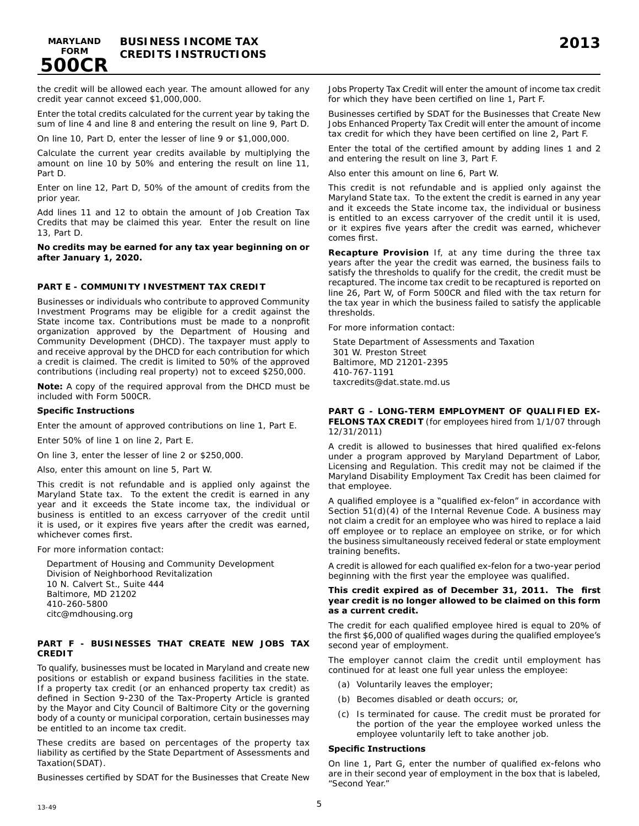

the credit will be allowed each year. The amount allowed for any credit year cannot exceed \$1,000,000.

Enter the total credits calculated for the current year by taking the sum of line 4 and line 8 and entering the result on line 9, Part D.

On line 10, Part D, enter the lesser of line 9 or \$1,000,000.

Calculate the current year credits available by multiplying the amount on line 10 by 50% and entering the result on line 11, Part D.

Enter on line 12, Part D, 50% of the amount of credits from the prior year.

Add lines 11 and 12 to obtain the amount of Job Creation Tax Credits that may be claimed this year. Enter the result on line 13, Part D.

#### **No credits may be earned for any tax year beginning on or after January 1, 2020.**

### **PART E - COMMUNITY INVESTMENT TAX CREDIT**

Businesses or individuals who contribute to approved Community Investment Programs may be eligible for a credit against the State income tax. Contributions must be made to a nonprofit organization approved by the Department of Housing and Community Development (DHCD). The taxpayer must apply to and receive approval by the DHCD for each contribution for which a credit is claimed. The credit is limited to 50% of the approved contributions (including real property) not to exceed \$250,000.

**Note:** A copy of the required approval from the DHCD must be included with Form 500CR.

### **Specific Instructions**

Enter the amount of approved contributions on line 1, Part E.

Enter 50% of line 1 on line 2, Part E.

On line 3, enter the lesser of line 2 or \$250,000.

Also, enter this amount on line 5, Part W.

This credit is not refundable and is applied only against the Maryland State tax. To the extent the credit is earned in any year and it exceeds the State income tax, the individual or business is entitled to an excess carryover of the credit until it is used, or it expires five years after the credit was earned, whichever comes first.

For more information contact:

Department of Housing and Community Development Division of Neighborhood Revitalization 10 N. Calvert St., Suite 444 Baltimore, MD 21202 410-260-5800 citc@mdhousing.org

### **PART F - BUSINESSES THAT CREATE NEW JOBS TAX CREDIT**

To qualify, businesses must be located in Maryland and create new positions or establish or expand business facilities in the state. If a property tax credit (or an enhanced property tax credit) as defined in Section 9-230 of the Tax-Property Article is granted by the Mayor and City Council of Baltimore City or the governing body of a county or municipal corporation, certain businesses may be entitled to an income tax credit.

These credits are based on percentages of the property tax liability as certified by the State Department of Assessments and Taxation(SDAT).

Businesses certified by SDAT for the Businesses that Create New

Jobs Property Tax Credit will enter the amount of income tax credit for which they have been certified on line 1, Part F.

Businesses certified by SDAT for the Businesses that Create New Jobs Enhanced Property Tax Credit will enter the amount of income tax credit for which they have been certified on line 2, Part F.

Enter the total of the certified amount by adding lines 1 and 2 and entering the result on line 3, Part F.

Also enter this amount on line 6, Part W.

This credit is not refundable and is applied only against the Maryland State tax. To the extent the credit is earned in any year and it exceeds the State income tax, the individual or business is entitled to an excess carryover of the credit until it is used, or it expires five years after the credit was earned, whichever comes first.

**Recapture Provision** If, at any time during the three tax years after the year the credit was earned, the business fails to satisfy the thresholds to qualify for the credit, the credit must be recaptured. The income tax credit to be recaptured is reported on line 26, Part W, of Form 500CR and filed with the tax return for the tax year in which the business failed to satisfy the applicable thresholds.

For more information contact:

State Department of Assessments and Taxation 301 W. Preston Street Baltimore, MD 21201-2395 410-767-1191 taxcredits@dat.state.md.us

#### **PART G - LONG-TERM EMPLOYMENT OF QUALIFIED EX-FELONS TAX CREDIT** (for employees hired from 1/1/07 through 12/31/2011)

A credit is allowed to businesses that hired qualified ex-felons under a program approved by Maryland Department of Labor, Licensing and Regulation. This credit may not be claimed if the Maryland Disability Employment Tax Credit has been claimed for that employee.

A qualified employee is a "qualified ex-felon" in accordance with Section 51(d)(4) of the Internal Revenue Code. A business may not claim a credit for an employee who was hired to replace a laid off employee or to replace an employee on strike, or for which the business simultaneously received federal or state employment training benefits.

A credit is allowed for each qualified ex-felon for a two-year period beginning with the first year the employee was qualified.

#### **This credit expired as of December 31, 2011. The first year credit is no longer allowed to be claimed on this form as a current credit.**

The credit for each qualified employee hired is equal to 20% of the first \$6,000 of qualified wages during the qualified employee's second year of employment.

The employer cannot claim the credit until employment has continued for at least one full year unless the employee:

- (a) Voluntarily leaves the employer;
- (b) Becomes disabled or death occurs; or,
- (c) Is terminated for cause. The credit must be prorated for the portion of the year the employee worked unless the employee voluntarily left to take another job.

#### **Specific Instructions**

On line 1, Part G, enter the number of qualified ex-felons who are in their second year of employment in the box that is labeled, "Second Year."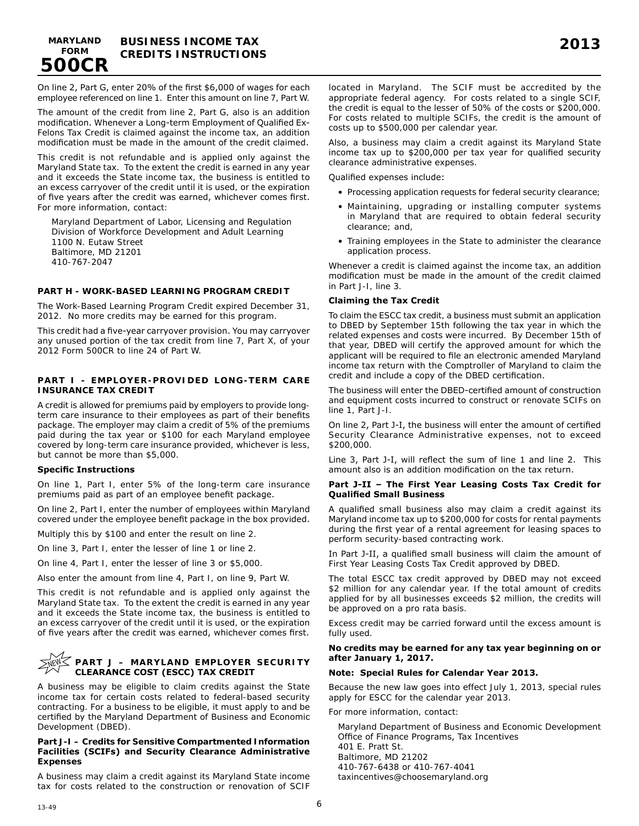**MARYLAND 500CR**

On line 2, Part G, enter 20% of the first \$6,000 of wages for each employee referenced on line 1. Enter this amount on line 7, Part W.

The amount of the credit from line 2, Part G, also is an addition modification. Whenever a Long-term Employment of Qualified Ex-Felons Tax Credit is claimed against the income tax, an addition modification must be made in the amount of the credit claimed.

This credit is not refundable and is applied only against the Maryland State tax. To the extent the credit is earned in any year and it exceeds the State income tax, the business is entitled to an excess carryover of the credit until it is used, or the expiration of five years after the credit was earned, whichever comes first. For more information, contact:

Maryland Department of Labor, Licensing and Regulation Division of Workforce Development and Adult Learning 1100 N. Eutaw Street Baltimore, MD 21201 410-767-2047

### **PART H - WORK-BASED LEARNING PROGRAM CREDIT**

The Work-Based Learning Program Credit expired December 31, 2012. No more credits may be earned for this program.

This credit had a five-year carryover provision. You may carryover any unused portion of the tax credit from line 7, Part X, of your 2012 Form 500CR to line 24 of Part W.

### **PART I - EMPLOYER-PROVIDED LONG-TERM CARE INSURANCE TAX CREDIT**

A credit is allowed for premiums paid by employers to provide longterm care insurance to their employees as part of their benefits package. The employer may claim a credit of 5% of the premiums paid during the tax year or \$100 for each Maryland employee covered by long-term care insurance provided, whichever is less, but cannot be more than \$5,000.

#### **Specific Instructions**

On line 1, Part I, enter 5% of the long-term care insurance premiums paid as part of an employee benefit package.

On line 2, Part I, enter the number of employees within Maryland covered under the employee benefit package in the box provided.

Multiply this by \$100 and enter the result on line 2.

On line 3, Part I, enter the lesser of line 1 or line 2.

On line 4, Part I, enter the lesser of line 3 or \$5,000.

Also enter the amount from line 4, Part I, on line 9, Part W.

This credit is not refundable and is applied only against the Maryland State tax. To the extent the credit is earned in any year and it exceeds the State income tax, the business is entitled to an excess carryover of the credit until it is used, or the expiration of five years after the credit was earned, whichever comes first.

#### **PART J – MARYLAND EMPLOYER SECURITY CLEARANCE COST (ESCC) TAX CREDIT NEW**

A business may be eligible to claim credits against the State income tax for certain costs related to federal-based security contracting. For a business to be eligible, it must apply to and be certified by the Maryland Department of Business and Economic Development (DBED).

### **Part J-I – Credits for Sensitive Compartmented Information Facilities (SCIFs) and Security Clearance Administrative Expenses**

A business may claim a credit against its Maryland State income tax for costs related to the construction or renovation of SCIF located in Maryland. The SCIF must be accredited by the appropriate federal agency. For costs related to a single SCIF, the credit is equal to the lesser of 50% of the costs or \$200,000. For costs related to multiple SCIFs, the credit is the amount of costs up to \$500,000 per calendar year.

Also, a business may claim a credit against its Maryland State income tax up to \$200,000 per tax year for qualified security clearance administrative expenses.

Qualified expenses include:

- Processing application requests for federal security clearance;
- Maintaining, upgrading or installing computer systems in Maryland that are required to obtain federal security clearance; and,
- Training employees in the State to administer the clearance application process.

Whenever a credit is claimed against the income tax, an addition modification must be made in the amount of the credit claimed in Part J-I, line 3.

### **Claiming the Tax Credit**

To claim the ESCC tax credit, a business must submit an application to DBED by September 15th following the tax year in which the related expenses and costs were incurred. By December 15th of that year, DBED will certify the approved amount for which the applicant will be required to file an electronic amended Maryland income tax return with the Comptroller of Maryland to claim the credit and include a copy of the DBED certification.

The business will enter the DBED-certified amount of construction and equipment costs incurred to construct or renovate SCIFs on line 1, Part J-I.

On line 2, Part J-I, the business will enter the amount of certified Security Clearance Administrative expenses, not to exceed \$200,000.

Line 3, Part J-I, will reflect the sum of line 1 and line 2. This amount also is an addition modification on the tax return.

#### **Part J-II – The First Year Leasing Costs Tax Credit for Qualified Small Business**

A qualified small business also may claim a credit against its Maryland income tax up to \$200,000 for costs for rental payments during the first year of a rental agreement for leasing spaces to perform security-based contracting work.

In Part J-II, a qualified small business will claim the amount of First Year Leasing Costs Tax Credit approved by DBED.

The total ESCC tax credit approved by DBED may not exceed \$2 million for any calendar year. If the total amount of credits applied for by all businesses exceeds \$2 million, the credits will be approved on a pro rata basis.

Excess credit may be carried forward until the excess amount is fully used.

#### **No credits may be earned for any tax year beginning on or after January 1, 2017.**

#### **Note: Special Rules for Calendar Year 2013.**

Because the new law goes into effect July 1, 2013, special rules apply for ESCC for the calendar year 2013.

For more information, contact:

Maryland Department of Business and Economic Development Office of Finance Programs, Tax Incentives 401 E. Pratt St. Baltimore, MD 21202 410-767-6438 or 410-767-4041 taxincentives@choosemaryland.org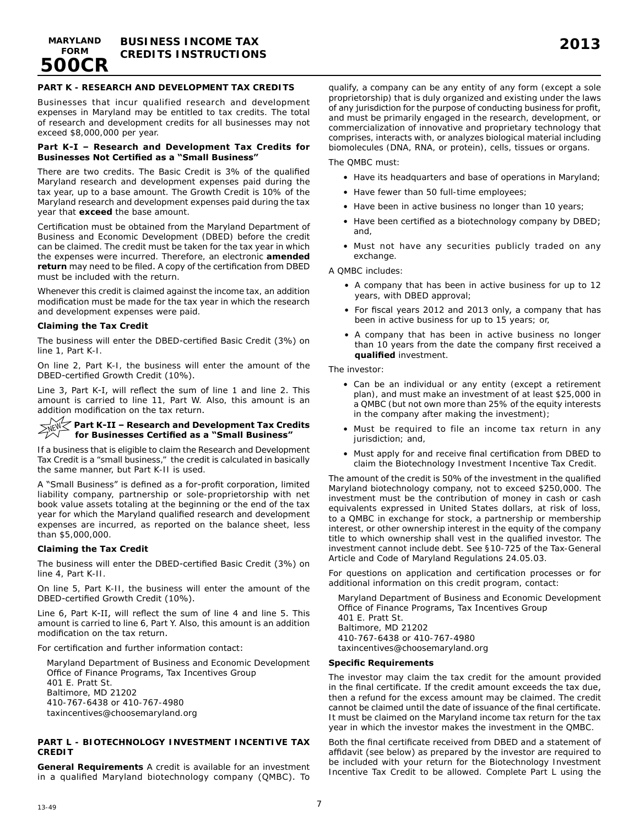

### **PART K - RESEARCH AND DEVELOPMENT TAX CREDITS**

Businesses that incur qualified research and development expenses in Maryland may be entitled to tax credits. The total of research and development credits for all businesses may not exceed \$8,000,000 per year.

#### **Part K-I – Research and Development Tax Credits for Businesses Not Certified as a "Small Business"**

There are two credits. The Basic Credit is 3% of the qualified Maryland research and development expenses paid during the tax year, up to a base amount. The Growth Credit is 10% of the Maryland research and development expenses paid during the tax year that **exceed** the base amount.

Certification must be obtained from the Maryland Department of Business and Economic Development (DBED) before the credit can be claimed. The credit must be taken for the tax year in which the expenses were incurred. Therefore, an electronic **amended return** may need to be filed. A copy of the certification from DBED must be included with the return.

Whenever this credit is claimed against the income tax, an addition modification must be made for the tax year in which the research and development expenses were paid.

#### **Claiming the Tax Credit**

The business will enter the DBED-certified Basic Credit (3%) on line 1, Part K-I.

On line 2, Part K-I, the business will enter the amount of the DBED-certified Growth Credit (10%).

Line 3, Part K-I, will reflect the sum of line 1 and line 2. This amount is carried to line 11, Part W. Also, this amount is an addition modification on the tax return.

#### **Part K-II – Research and Development Tax Credits for Businesses Certified as a "Small Business"**

If a business that is eligible to claim the Research and Development Tax Credit is a "small business," the credit is calculated in basically the same manner, but Part K-II is used.

A "Small Business" is defined as a for-profit corporation, limited liability company, partnership or sole-proprietorship with net book value assets totaling at the beginning or the end of the tax year for which the Maryland qualified research and development expenses are incurred, as reported on the balance sheet, less than \$5,000,000.

#### **Claiming the Tax Credit**

The business will enter the DBED-certified Basic Credit (3%) on line 4, Part K-II.

On line 5, Part K-II, the business will enter the amount of the DBED-certified Growth Credit (10%).

Line 6, Part K-II, will reflect the sum of line 4 and line 5. This amount is carried to line 6, Part Y. Also, this amount is an addition modification on the tax return.

For certification and further information contact:

Maryland Department of Business and Economic Development Office of Finance Programs, Tax Incentives Group 401 E. Pratt St. Baltimore, MD 21202 410-767-6438 or 410-767-4980 taxincentives@choosemaryland.org

#### **PART L - BIOTECHNOLOGY INVESTMENT INCENTIVE TAX CREDIT**

**General Requirements** A credit is available for an investment in a qualified Maryland biotechnology company (QMBC). To

qualify, a company can be any entity of any form (except a sole proprietorship) that is duly organized and existing under the laws of any jurisdiction for the purpose of conducting business for profit, and must be primarily engaged in the research, development, or commercialization of innovative and proprietary technology that comprises, interacts with, or analyzes biological material including biomolecules (DNA, RNA, or protein), cells, tissues or organs.

The QMBC must:

- Have its headquarters and base of operations in Maryland;
- Have fewer than 50 full-time employees;
- Have been in active business no longer than 10 years;
- Have been certified as a biotechnology company by DBED; and,
- Must not have any securities publicly traded on any exchange.

A QMBC includes:

- A company that has been in active business for up to 12 years, with DBED approval;
- For fiscal years 2012 and 2013 only, a company that has been in active business for up to 15 years; or,
- A company that has been in active business no longer than 10 years from the date the company first received a **qualified** investment.

The investor:

- Can be an individual or any entity (except a retirement plan), and must make an investment of at least \$25,000 in a QMBC (but not own more than 25% of the equity interests in the company after making the investment);
- Must be required to file an income tax return in any jurisdiction; and,
- Must apply for and receive final certification from DBED to claim the Biotechnology Investment Incentive Tax Credit.

The amount of the credit is 50% of the investment in the qualified Maryland biotechnology company, not to exceed \$250,000. The investment must be the contribution of money in cash or cash equivalents expressed in United States dollars, at risk of loss, to a QMBC in exchange for stock, a partnership or membership interest, or other ownership interest in the equity of the company title to which ownership shall vest in the qualified investor. The investment cannot include debt. See §10-725 of the Tax-General Article and Code of Maryland Regulations 24.05.03.

For questions on application and certification processes or for additional information on this credit program, contact:

Maryland Department of Business and Economic Development Office of Finance Programs, Tax Incentives Group 401 E. Pratt St. Baltimore, MD 21202 410-767-6438 or 410-767-4980 taxincentives@choosemaryland.org

#### **Specific Requirements**

The investor may claim the tax credit for the amount provided in the final certificate. If the credit amount exceeds the tax due, then a refund for the excess amount may be claimed. The credit cannot be claimed until the date of issuance of the final certificate. It must be claimed on the Maryland income tax return for the tax year in which the investor makes the investment in the QMBC.

Both the final certificate received from DBED and a statement of affidavit (see below) as prepared by the investor are required to be included with your return for the Biotechnology Investment Incentive Tax Credit to be allowed. Complete Part L using the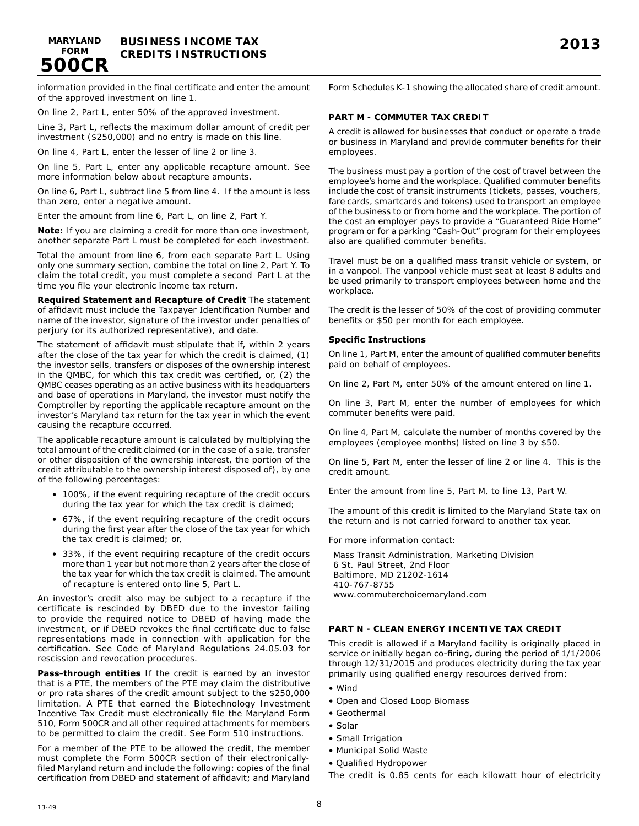information provided in the final certificate and enter the amount of the approved investment on line 1.

On line 2, Part L, enter 50% of the approved investment.

Line 3, Part L, reflects the maximum dollar amount of credit per investment (\$250,000) and no entry is made on this line.

On line 4, Part L, enter the lesser of line 2 or line 3.

On line 5, Part L, enter any applicable recapture amount. See more information below about recapture amounts.

On line 6, Part L, subtract line 5 from line 4. If the amount is less than zero, enter a negative amount.

Enter the amount from line 6, Part L, on line 2, Part Y.

**Note:** If you are claiming a credit for more than one investment, another separate Part L must be completed for each investment.

Total the amount from line 6, from each separate Part L. Using only one summary section, combine the total on line 2, Part Y. To claim the total credit, you must complete a second Part L at the time you file your electronic income tax return.

**Required Statement and Recapture of Credit** The statement of affidavit must include the Taxpayer Identification Number and name of the investor, signature of the investor under penalties of perjury (or its authorized representative), and date.

The statement of affidavit must stipulate that if, within 2 years after the close of the tax year for which the credit is claimed, (1) the investor sells, transfers or disposes of the ownership interest in the QMBC, for which this tax credit was certified, or, (2) the QMBC ceases operating as an active business with its headquarters and base of operations in Maryland, the investor must notify the Comptroller by reporting the applicable recapture amount on the investor's Maryland tax return for the tax year in which the event causing the recapture occurred.

The applicable recapture amount is calculated by multiplying the total amount of the credit claimed (or in the case of a sale, transfer or other disposition of the ownership interest, the portion of the credit attributable to the ownership interest disposed of), by one of the following percentages:

- 100%, if the event requiring recapture of the credit occurs during the tax year for which the tax credit is claimed;
- 67%, if the event requiring recapture of the credit occurs during the first year after the close of the tax year for which the tax credit is claimed; or,
- 33%, if the event requiring recapture of the credit occurs more than 1 year but not more than 2 years after the close of the tax year for which the tax credit is claimed. The amount of recapture is entered onto line 5, Part L.

An investor's credit also may be subject to a recapture if the certificate is rescinded by DBED due to the investor failing to provide the required notice to DBED of having made the investment, or if DBED revokes the final certificate due to false representations made in connection with application for the certification. See Code of Maryland Regulations 24.05.03 for rescission and revocation procedures.

**Pass-through entities** If the credit is earned by an investor that is a PTE, the members of the PTE may claim the distributive or pro rata shares of the credit amount subject to the \$250,000 limitation. A PTE that earned the Biotechnology Investment Incentive Tax Credit must electronically file the Maryland Form 510, Form 500CR and all other required attachments for members to be permitted to claim the credit. See Form 510 instructions.

For a member of the PTE to be allowed the credit, the member must complete the Form 500CR section of their electronicallyfiled Maryland return and include the following: copies of the final certification from DBED and statement of affidavit; and Maryland Form Schedules K-1 showing the allocated share of credit amount.

### **PART M - COMMUTER TAX CREDIT**

A credit is allowed for businesses that conduct or operate a trade or business in Maryland and provide commuter benefits for their employees.

The business must pay a portion of the cost of travel between the employee's home and the workplace. Qualified commuter benefits include the cost of transit instruments (tickets, passes, vouchers, fare cards, smartcards and tokens) used to transport an employee of the business to or from home and the workplace. The portion of the cost an employer pays to provide a "Guaranteed Ride Home" program or for a parking "Cash-Out" program for their employees also are qualified commuter benefits.

Travel must be on a qualified mass transit vehicle or system, or in a vanpool. The vanpool vehicle must seat at least 8 adults and be used primarily to transport employees between home and the workplace.

The credit is the lesser of 50% of the cost of providing commuter benefits or \$50 per month for each employee.

#### **Specific Instructions**

On line 1, Part M, enter the amount of qualified commuter benefits paid on behalf of employees.

On line 2, Part M, enter 50% of the amount entered on line 1.

On line 3, Part M, enter the number of employees for which commuter benefits were paid.

On line 4, Part M, calculate the number of months covered by the employees (employee months) listed on line 3 by \$50.

On line 5, Part M, enter the lesser of line 2 or line 4. This is the credit amount.

Enter the amount from line 5, Part M, to line 13, Part W.

The amount of this credit is limited to the Maryland State tax on the return and is not carried forward to another tax year.

For more information contact:

Mass Transit Administration, Marketing Division 6 St. Paul Street, 2nd Floor Baltimore, MD 21202-1614 410-767-8755 www.commuterchoicemaryland.com

### **PART N - CLEAN ENERGY INCENTIVE TAX CREDIT**

This credit is allowed if a Maryland facility is originally placed in service or initially began co-firing, during the period of 1/1/2006 through 12/31/2015 and produces electricity during the tax year primarily using qualified energy resources derived from:

- Wind
- Open and Closed Loop Biomass
- Geothermal
- Solar
- Small Irrigation
- Municipal Solid Waste
- Qualified Hydropower

The credit is 0.85 cents for each kilowatt hour of electricity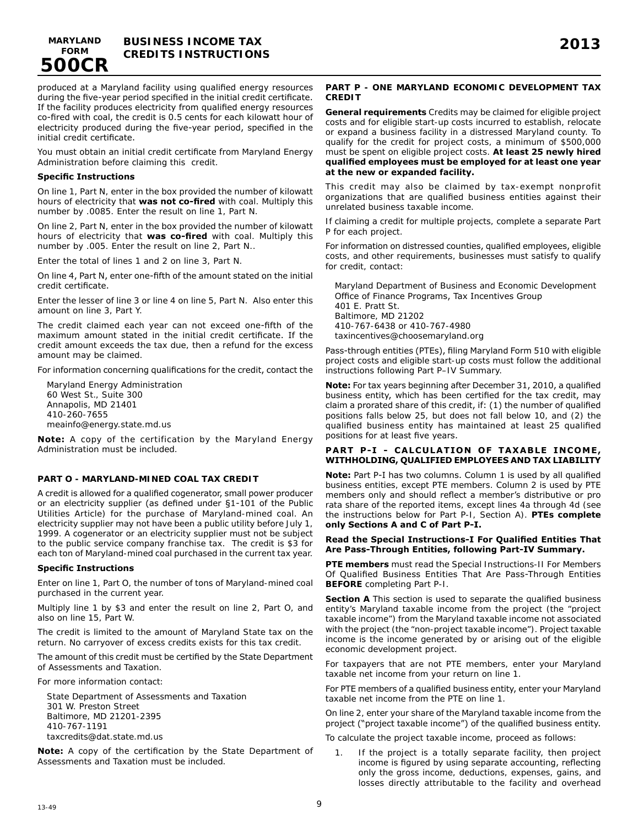

produced at a Maryland facility using qualified energy resources during the five-year period specified in the initial credit certificate. If the facility produces electricity from qualified energy resources co-fired with coal, the credit is 0.5 cents for each kilowatt hour of electricity produced during the five-year period, specified in the initial credit certificate.

You must obtain an initial credit certificate from Maryland Energy Administration before claiming this credit.

#### **Specific Instructions**

On line 1, Part N, enter in the box provided the number of kilowatt hours of electricity that **was not co-fired** with coal. Multiply this number by .0085. Enter the result on line 1, Part N.

On line 2, Part N, enter in the box provided the number of kilowatt hours of electricity that **was co-fired** with coal. Multiply this number by .005. Enter the result on line 2, Part N..

Enter the total of lines 1 and 2 on line 3, Part N.

On line 4, Part N, enter one-fifth of the amount stated on the initial credit certificate.

Enter the lesser of line 3 or line 4 on line 5, Part N. Also enter this amount on line 3, Part Y.

The credit claimed each year can not exceed one-fifth of the maximum amount stated in the initial credit certificate. If the credit amount exceeds the tax due, then a refund for the excess amount may be claimed.

For information concerning qualifications for the credit, contact the

Maryland Energy Administration 60 West St., Suite 300 Annapolis, MD 21401 410-260-7655 meainfo@energy.state.md.us

**Note:** A copy of the certification by the Maryland Energy Administration must be included.

#### **PART O - MARYLAND-MINED COAL TAX CREDIT**

A credit is allowed for a qualified cogenerator, small power producer or an electricity supplier (as defined under §1-101 of the Public Utilities Article) for the purchase of Maryland-mined coal. An electricity supplier may not have been a public utility before July 1, 1999. A cogenerator or an electricity supplier must not be subject to the public service company franchise tax. The credit is \$3 for each ton of Maryland-mined coal purchased in the current tax year.

#### **Specific Instructions**

Enter on line 1, Part O, the number of tons of Maryland-mined coal purchased in the current year.

Multiply line 1 by \$3 and enter the result on line 2, Part O, and also on line 15, Part W.

The credit is limited to the amount of Maryland State tax on the return. No carryover of excess credits exists for this tax credit.

The amount of this credit must be certified by the State Department of Assessments and Taxation.

For more information contact:

State Department of Assessments and Taxation 301 W. Preston Street Baltimore, MD 21201-2395 410-767-1191 taxcredits@dat.state.md.us

**Note:** A copy of the certification by the State Department of Assessments and Taxation must be included.

#### **PART P - ONE MARYLAND ECONOMIC DEVELOPMENT TAX CREDIT**

**General requirements** Credits may be claimed for eligible project costs and for eligible start-up costs incurred to establish, relocate or expand a business facility in a distressed Maryland county. To qualify for the credit for project costs, a minimum of \$500,000 must be spent on eligible project costs. **At least 25 newly hired qualified employees must be employed for at least one year at the new or expanded facility.** 

This credit may also be claimed by tax-exempt nonprofit organizations that are qualified business entities against their unrelated business taxable income.

If claiming a credit for multiple projects, complete a separate Part P for each project.

For information on distressed counties, qualified employees, eligible costs, and other requirements, businesses must satisfy to qualify for credit, contact:

Maryland Department of Business and Economic Development Office of Finance Programs, Tax Incentives Group 401 E. Pratt St. Baltimore, MD 21202 410-767-6438 or 410-767-4980 taxincentives@choosemaryland.org

Pass-through entities (PTEs), filing Maryland Form 510 with eligible project costs and eligible start-up costs must follow the additional instructions following Part P–IV Summary.

**Note:** For tax years beginning after December 31, 2010, a qualified business entity, which has been certified for the tax credit, may claim a prorated share of this credit, if: (1) the number of qualified positions falls below 25, but does not fall below 10, and (2) the qualified business entity has maintained at least 25 qualified positions for at least five years.

### PART P-I - CALCULATION OF TAXABLE INCOME, **WITHHOLDING, QUALIFIED EMPLOYEES AND TAX LIABILITY**

**Note:** Part P-I has two columns. Column 1 is used by all qualified business entities, except PTE members. Column 2 is used by PTE members only and should reflect a member's distributive or pro rata share of the reported items, except lines 4a through 4d (see the instructions below for Part P-I, Section A). **PTEs complete only Sections A and C of Part P-I.** 

#### **Read the Special Instructions-I For Qualified Entities That Are Pass-Through Entities, following Part-IV Summary.**

**PTE members** must read the Special Instructions-II For Members Of Qualified Business Entities That Are Pass-Through Entities **BEFORE** completing Part P-I.

**Section A** This section is used to separate the qualified business entity's Maryland taxable income from the project (the "project taxable income") from the Maryland taxable income not associated with the project (the "non-project taxable income"). Project taxable income is the income generated by or arising out of the eligible economic development project.

For taxpayers that are not PTE members, enter your Maryland taxable net income from your return on line 1.

For PTE members of a qualified business entity, enter your Maryland taxable net income from the PTE on line 1.

On line 2, enter your share of the Maryland taxable income from the project ("project taxable income") of the qualified business entity.

To calculate the project taxable income, proceed as follows:

1. If the project is a totally separate facility, then project income is figured by using separate accounting, reflecting only the gross income, deductions, expenses, gains, and losses directly attributable to the facility and overhead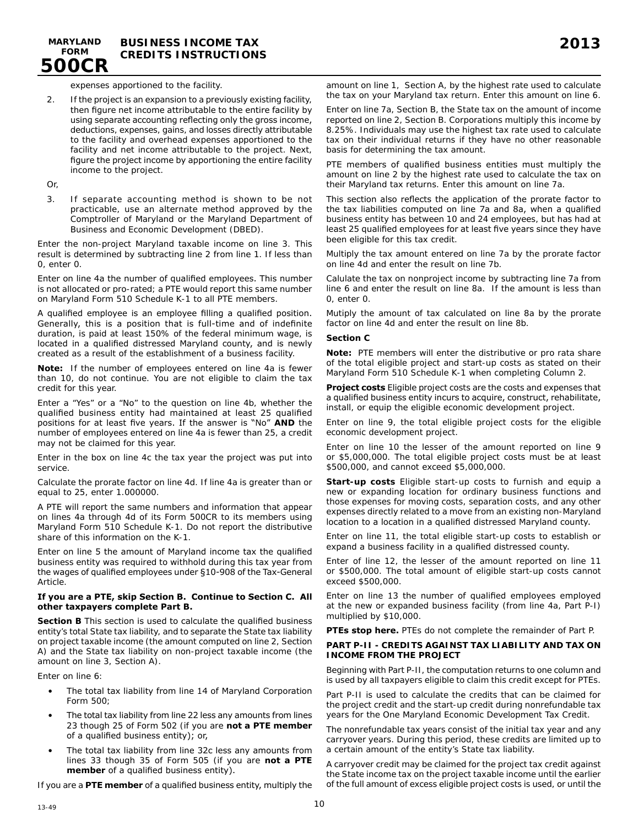expenses apportioned to the facility.

2. If the project is an expansion to a previously existing facility, then figure net income attributable to the entire facility by using separate accounting reflecting only the gross income, deductions, expenses, gains, and losses directly attributable to the facility and overhead expenses apportioned to the facility and net income attributable to the project. Next, figure the project income by apportioning the entire facility income to the project.

Or,

**500CR**

3. If separate accounting method is shown to be not practicable, use an alternate method approved by the Comptroller of Maryland or the Maryland Department of Business and Economic Development (DBED).

Enter the non-project Maryland taxable income on line 3. This result is determined by subtracting line 2 from line 1. If less than 0, enter 0.

Enter on line 4a the number of qualified employees. This number is not allocated or pro-rated; a PTE would report this same number on Maryland Form 510 Schedule K-1 to all PTE members.

A qualified employee is an employee filling a qualified position. Generally, this is a position that is full-time and of indefinite duration, is paid at least 150% of the federal minimum wage, is located in a qualified distressed Maryland county, and is newly created as a result of the establishment of a business facility.

**Note:** If the number of employees entered on line 4a is fewer than 10, do not continue. You are not eligible to claim the tax credit for this year.

Enter a "Yes" or a "No" to the question on line 4b, whether the qualified business entity had maintained at least 25 qualified positions for at least five years. If the answer is "No" **AND** the number of employees entered on line 4a is fewer than 25, a credit may not be claimed for this year.

Enter in the box on line 4c the tax year the project was put into service.

Calculate the prorate factor on line 4d. If line 4a is greater than or equal to 25, enter 1.000000.

A PTE will report the same numbers and information that appear on lines 4a through 4d of its Form 500CR to its members using Maryland Form 510 Schedule K-1. Do not report the distributive share of this information on the K-1.

Enter on line 5 the amount of Maryland income tax the qualified business entity was required to withhold during this tax year from the wages of qualified employees under §10-908 of the Tax-General Article.

#### **If you are a PTE, skip Section B. Continue to Section C. All other taxpayers complete Part B.**

**Section B** This section is used to calculate the qualified business entity's total State tax liability, and to separate the State tax liability on project taxable income (the amount computed on line 2, Section A) and the State tax liability on non-project taxable income (the amount on line 3, Section A).

Enter on line 6:

- The total tax liability from line 14 of Maryland Corporation Form 500;
- The total tax liability from line 22 less any amounts from lines 23 though 25 of Form 502 (if you are **not a PTE member**  of a qualified business entity); or,
- The total tax liability from line 32c less any amounts from lines 33 though 35 of Form 505 (if you are **not a PTE member** of a qualified business entity).

If you are a **PTE member** of a qualified business entity, multiply the

amount on line 1, Section A, by the highest rate used to calculate the tax on your Maryland tax return. Enter this amount on line 6.

Enter on line 7a, Section B, the State tax on the amount of income reported on line 2, Section B. Corporations multiply this income by 8.25%. Individuals may use the highest tax rate used to calculate tax on their individual returns if they have no other reasonable basis for determining the tax amount.

PTE members of qualified business entities must multiply the amount on line 2 by the highest rate used to calculate the tax on their Maryland tax returns. Enter this amount on line 7a.

This section also reflects the application of the prorate factor to the tax liabilities computed on line 7a and 8a, when a qualified business entity has between 10 and 24 employees, but has had at least 25 qualified employees for at least five years since they have been eligible for this tax credit.

Multiply the tax amount entered on line 7a by the prorate factor on line 4d and enter the result on line 7b.

Calulate the tax on nonproject income by subtracting line 7a from line 6 and enter the result on line 8a. If the amount is less than 0, enter 0.

Mutiply the amount of tax calculated on line 8a by the prorate factor on line 4d and enter the result on line 8b.

#### **Section C**

**Note:** PTE members will enter the distributive or pro rata share of the total eligible project and start-up costs as stated on their Maryland Form 510 Schedule K-1 when completing Column 2.

**Project costs** Eligible project costs are the costs and expenses that a qualified business entity incurs to acquire, construct, rehabilitate, install, or equip the eligible economic development project.

Enter on line 9, the total eligible project costs for the eligible economic development project.

Enter on line 10 the lesser of the amount reported on line 9 or \$5,000,000. The total eligible project costs must be at least \$500,000, and cannot exceed \$5,000,000.

**Start-up costs** Eligible start-up costs to furnish and equip a new or expanding location for ordinary business functions and those expenses for moving costs, separation costs, and any other expenses directly related to a move from an existing non-Maryland location to a location in a qualified distressed Maryland county.

Enter on line 11, the total eligible start-up costs to establish or expand a business facility in a qualified distressed county.

Enter of line 12, the lesser of the amount reported on line 11 or \$500,000. The total amount of eligible start-up costs cannot exceed \$500,000.

Enter on line 13 the number of qualified employees employed at the new or expanded business facility (from line 4a, Part P-I) multiplied by \$10,000.

**PTEs stop here.** PTEs do not complete the remainder of Part P.

### **PART P-II - CREDITS AGAINST TAX LIABILITY AND TAX ON INCOME FROM THE PROJECT**

Beginning with Part P-II, the computation returns to one column and is used by all taxpayers eligible to claim this credit except for PTEs.

Part P-II is used to calculate the credits that can be claimed for the project credit and the start-up credit during nonrefundable tax years for the One Maryland Economic Development Tax Credit.

The nonrefundable tax years consist of the initial tax year and any carryover years. During this period, these credits are limited up to a certain amount of the entity's State tax liability.

A carryover credit may be claimed for the project tax credit against the State income tax on the project taxable income until the earlier of the full amount of excess eligible project costs is used, or until the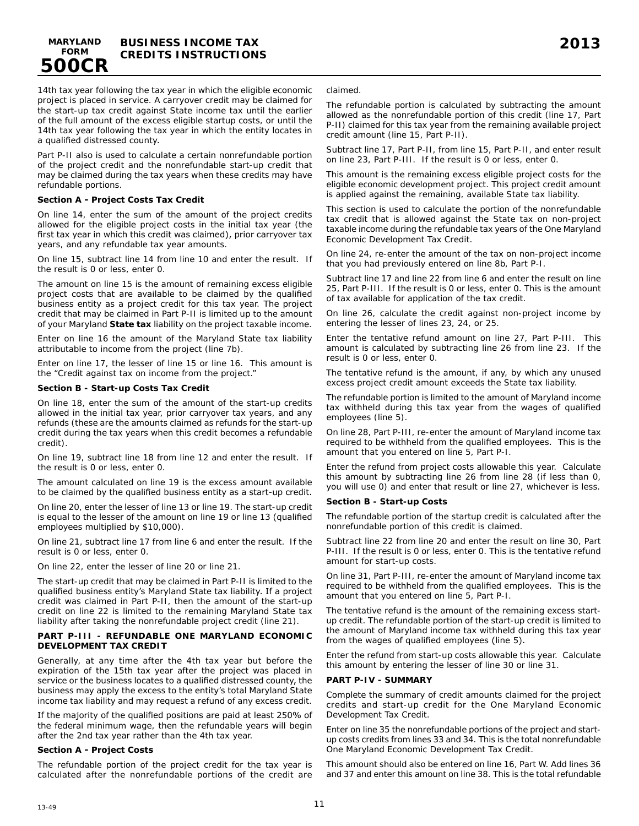**500CR**

14th tax year following the tax year in which the eligible economic project is placed in service. A carryover credit may be claimed for the start-up tax credit against State income tax until the earlier of the full amount of the excess eligible startup costs, or until the 14th tax year following the tax year in which the entity locates in a qualified distressed county.

Part P-II also is used to calculate a certain nonrefundable portion of the project credit and the nonrefundable start-up credit that may be claimed during the tax years when these credits may have refundable portions.

### **Section A - Project Costs Tax Credit**

On line 14, enter the sum of the amount of the project credits allowed for the eligible project costs in the initial tax year (the first tax year in which this credit was claimed), prior carryover tax years, and any refundable tax year amounts.

On line 15, subtract line 14 from line 10 and enter the result. If the result is 0 or less, enter 0.

The amount on line 15 is the amount of remaining excess eligible project costs that are available to be claimed by the qualified business entity as a project credit for this tax year. The project credit that may be claimed in Part P-II is limited up to the amount of your Maryland **State tax** liability on the project taxable income.

Enter on line 16 the amount of the Maryland State tax liability attributable to income from the project (line 7b).

Enter on line 17, the lesser of line 15 or line 16. This amount is the "Credit against tax on income from the project."

#### **Section B - Start-up Costs Tax Credit**

On line 18, enter the sum of the amount of the start-up credits allowed in the initial tax year, prior carryover tax years, and any refunds (these are the amounts claimed as refunds for the start-up credit during the tax years when this credit becomes a refundable credit).

On line 19, subtract line 18 from line 12 and enter the result. If the result is 0 or less, enter 0.

The amount calculated on line 19 is the excess amount available to be claimed by the qualified business entity as a start-up credit.

On line 20, enter the lesser of line 13 or line 19. The start-up credit is equal to the lesser of the amount on line 19 or line 13 (qualified employees multiplied by \$10,000).

On line 21, subtract line 17 from line 6 and enter the result. If the result is 0 or less, enter 0.

On line 22, enter the lesser of line 20 or line 21.

The start-up credit that may be claimed in Part P-II is limited to the qualified business entity's Maryland State tax liability. If a project credit was claimed in Part P-II, then the amount of the start-up credit on line 22 is limited to the remaining Maryland State tax liability after taking the nonrefundable project credit (line 21).

#### **PART P-III - REFUNDABLE ONE MARYLAND ECONOMIC DEVELOPMENT TAX CREDIT**

Generally, at any time after the 4th tax year but before the expiration of the 15th tax year after the project was placed in service or the business locates to a qualified distressed county, the business may apply the excess to the entity's total Maryland State income tax liability and may request a refund of any excess credit.

If the majority of the qualified positions are paid at least 250% of the federal minimum wage, then the refundable years will begin after the 2nd tax year rather than the 4th tax year.

#### **Section A - Project Costs**

The refundable portion of the project credit for the tax year is calculated after the nonrefundable portions of the credit are claimed.

The refundable portion is calculated by subtracting the amount allowed as the nonrefundable portion of this credit (line 17, Part P-II) claimed for this tax year from the remaining available project credit amount (line 15, Part P-II).

Subtract line 17, Part P-II, from line 15, Part P-II, and enter result on line 23, Part P-III. If the result is 0 or less, enter 0.

This amount is the remaining excess eligible project costs for the eligible economic development project. This project credit amount is applied against the remaining, available State tax liability.

This section is used to calculate the portion of the nonrefundable tax credit that is allowed against the State tax on non-project taxable income during the refundable tax years of the One Maryland Economic Development Tax Credit.

On line 24, re-enter the amount of the tax on non-project income that you had previously entered on line 8b, Part P-I.

Subtract line 17 and line 22 from line 6 and enter the result on line 25, Part P-III. If the result is 0 or less, enter 0. This is the amount of tax available for application of the tax credit.

On line 26, calculate the credit against non-project income by entering the lesser of lines 23, 24, or 25.

Enter the tentative refund amount on line 27, Part P-III. This amount is calculated by subtracting line 26 from line 23. If the result is 0 or less, enter 0.

The tentative refund is the amount, if any, by which any unused excess project credit amount exceeds the State tax liability.

The refundable portion is limited to the amount of Maryland income tax withheld during this tax year from the wages of qualified employees (line 5).

On line 28, Part P-III, re-enter the amount of Maryland income tax required to be withheld from the qualified employees. This is the amount that you entered on line 5, Part P-I.

Enter the refund from project costs allowable this year. Calculate this amount by subtracting line 26 from line 28 (if less than 0, you will use 0) and enter that result or line 27, whichever is less.

#### **Section B - Start-up Costs**

The refundable portion of the startup credit is calculated after the nonrefundable portion of this credit is claimed.

Subtract line 22 from line 20 and enter the result on line 30, Part P-III. If the result is 0 or less, enter 0. This is the tentative refund amount for start-up costs.

On line 31, Part P-III, re-enter the amount of Maryland income tax required to be withheld from the qualified employees. This is the amount that you entered on line 5, Part P-I.

The tentative refund is the amount of the remaining excess startup credit. The refundable portion of the start-up credit is limited to the amount of Maryland income tax withheld during this tax year from the wages of qualified employees (line 5).

Enter the refund from start-up costs allowable this year. Calculate this amount by entering the lesser of line 30 or line 31.

#### **PART P-IV - SUMMARY**

Complete the summary of credit amounts claimed for the project credits and start-up credit for the One Maryland Economic Development Tax Credit.

Enter on line 35 the nonrefundable portions of the project and startup costs credits from lines 33 and 34. This is the total nonrefundable One Maryland Economic Development Tax Credit.

This amount should also be entered on line 16, Part W. Add lines 36 and 37 and enter this amount on line 38. This is the total refundable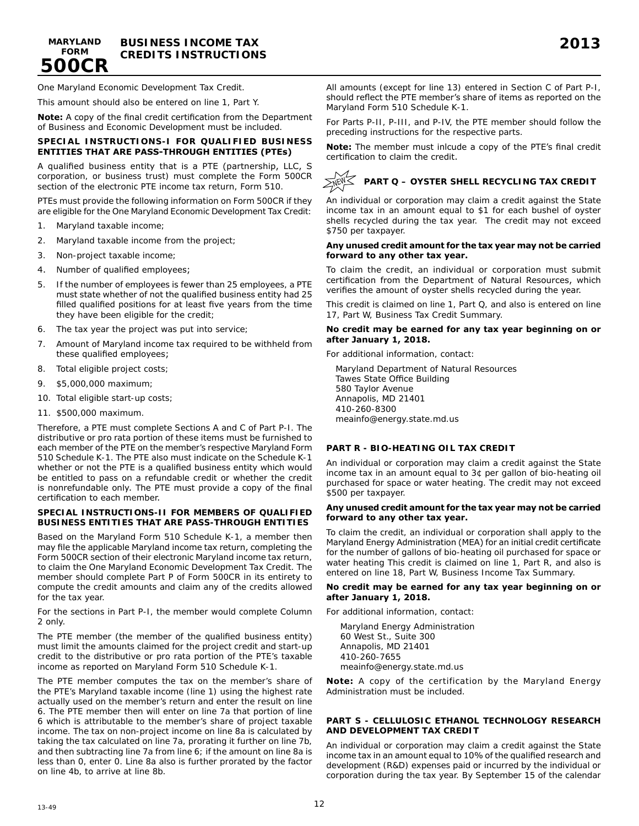**500CR**

One Maryland Economic Development Tax Credit.

This amount should also be entered on line 1, Part Y.

**Note:** A copy of the final credit certification from the Department of Business and Economic Development must be included.

### **SPECIAL INSTRUCTIONS-I FOR QUALIFIED BUSINESS ENTITIES THAT ARE PASS-THROUGH ENTITIES (PTEs)**

A qualified business entity that is a PTE (partnership, LLC, S corporation, or business trust) must complete the Form 500CR section of the electronic PTE income tax return, Form 510.

PTEs must provide the following information on Form 500CR if they are eligible for the One Maryland Economic Development Tax Credit:

- 1. Maryland taxable income;
- 2. Maryland taxable income from the project;
- 3. Non-project taxable income;
- 4. Number of qualified employees;
- 5. If the number of employees is fewer than 25 employees, a PTE must state whether of not the qualified business entity had 25 filled qualified positions for at least five years from the time they have been eligible for the credit;
- 6. The tax year the project was put into service;
- 7. Amount of Maryland income tax required to be withheld from these qualified employees;
- 8. Total eligible project costs;
- 9. \$5,000,000 maximum;
- 10. Total eligible start-up costs;
- 11. \$500,000 maximum.

Therefore, a PTE must complete Sections A and C of Part P-I. The distributive or pro rata portion of these items must be furnished to each member of the PTE on the member's respective Maryland Form 510 Schedule K-1. The PTE also must indicate on the Schedule K-1 whether or not the PTE is a qualified business entity which would be entitled to pass on a refundable credit or whether the credit is nonrefundable only. The PTE must provide a copy of the final certification to each member.

#### **SPECIAL INSTRUCTIONS-II FOR MEMBERS OF QUALIFIED BUSINESS ENTITIES THAT ARE PASS-THROUGH ENTITIES**

Based on the Maryland Form 510 Schedule K-1, a member then may file the applicable Maryland income tax return, completing the Form 500CR section of their electronic Maryland income tax return, to claim the One Maryland Economic Development Tax Credit. The member should complete Part P of Form 500CR in its entirety to compute the credit amounts and claim any of the credits allowed for the tax year.

For the sections in Part P-I, the member would complete Column 2 only.

The PTE member (the member of the qualified business entity) must limit the amounts claimed for the project credit and start-up credit to the distributive or pro rata portion of the PTE's taxable income as reported on Maryland Form 510 Schedule K-1.

The PTE member computes the tax on the member's share of the PTE's Maryland taxable income (line 1) using the highest rate actually used on the member's return and enter the result on line 6. The PTE member then will enter on line 7a that portion of line 6 which is attributable to the member's share of project taxable income. The tax on non-project income on line 8a is calculated by taking the tax calculated on line 7a, prorating it further on line 7b, and then subtracting line 7a from line 6; if the amount on line 8a is less than 0, enter 0. Line 8a also is further prorated by the factor on line 4b, to arrive at line 8b.

All amounts (except for line 13) entered in Section C of Part P-I, should reflect the PTE member's share of items as reported on the Maryland Form 510 Schedule K-1.

For Parts P-II, P-III, and P-IV, the PTE member should follow the preceding instructions for the respective parts.

**Note:** The member must inlcude a copy of the PTE's final credit certification to claim the credit.

### **PART Q – OYSTER SHELL RECYCLING TAX CREDIT NEW**

An individual or corporation may claim a credit against the State income tax in an amount equal to \$1 for each bushel of oyster shells recycled during the tax year. The credit may not exceed \$750 per taxpayer.

#### **Any unused credit amount for the tax year may not be carried forward to any other tax year.**

To claim the credit, an individual or corporation must submit certification from the Department of Natural Resources, which verifies the amount of oyster shells recycled during the year.

This credit is claimed on line 1, Part Q, and also is entered on line 17, Part W, Business Tax Credit Summary.

#### **No credit may be earned for any tax year beginning on or after January 1, 2018.**

For additional information, contact:

Maryland Department of Natural Resources Tawes State Office Building 580 Taylor Avenue Annapolis, MD 21401 410-260-8300 meainfo@energy.state.md.us

### **PART R - BIO-HEATING OIL TAX CREDIT**

An individual or corporation may claim a credit against the State income tax in an amount equal to 3¢ per gallon of bio-heating oil purchased for space or water heating. The credit may not exceed \$500 per taxpayer.

#### **Any unused credit amount for the tax year may not be carried forward to any other tax year.**

To claim the credit, an individual or corporation shall apply to the Maryland Energy Administration (MEA) for an initial credit certificate for the number of gallons of bio-heating oil purchased for space or water heating This credit is claimed on line 1, Part R, and also is entered on line 18, Part W, Business Income Tax Summary.

#### **No credit may be earned for any tax year beginning on or after January 1, 2018.**

For additional information, contact:

Maryland Energy Administration 60 West St., Suite 300 Annapolis, MD 21401 410-260-7655 meainfo@energy.state.md.us

**Note:** A copy of the certification by the Maryland Energy Administration must be included.

#### **PART S - CELLULOSIC ETHANOL TECHNOLOGY RESEARCH AND DEVELOPMENT TAX CREDIT**

An individual or corporation may claim a credit against the State income tax in an amount equal to 10% of the qualified research and development (R&D) expenses paid or incurred by the individual or corporation during the tax year. By September 15 of the calendar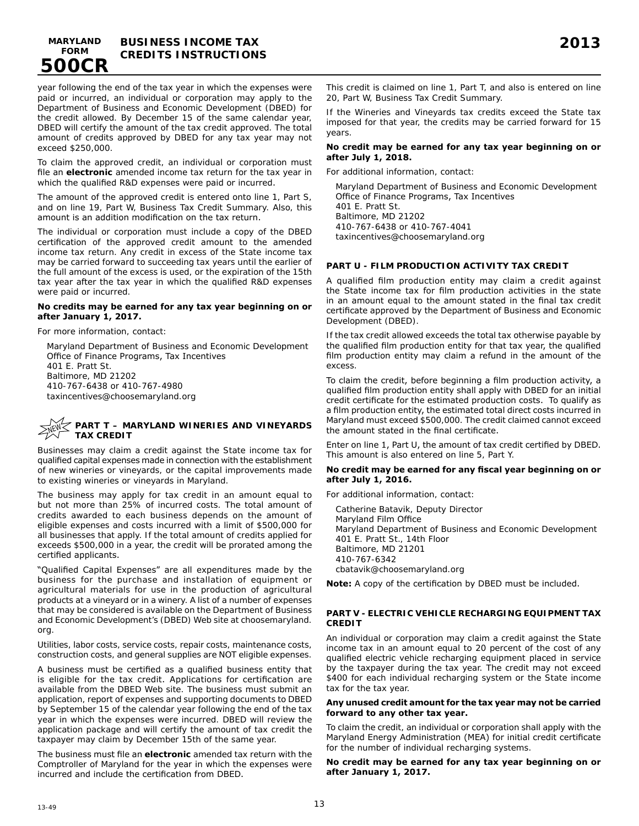**BUSINESS INCOME TAX MARYLAND 2013 FORM CREDITS INSTRUCTIONS**

year following the end of the tax year in which the expenses were paid or incurred, an individual or corporation may apply to the Department of Business and Economic Development (DBED) for the credit allowed. By December 15 of the same calendar year, DBED will certify the amount of the tax credit approved. The total amount of credits approved by DBED for any tax year may not exceed \$250,000.

To claim the approved credit, an individual or corporation must file an **electronic** amended income tax return for the tax year in which the qualified R&D expenses were paid or incurred.

The amount of the approved credit is entered onto line 1, Part S, and on line 19, Part W, Business Tax Credit Summary. Also, this amount is an addition modification on the tax return.

The individual or corporation must include a copy of the DBED certification of the approved credit amount to the amended income tax return. Any credit in excess of the State income tax may be carried forward to succeeding tax years until the earlier of the full amount of the excess is used, or the expiration of the 15th tax year after the tax year in which the qualified R&D expenses were paid or incurred.

#### **No credits may be earned for any tax year beginning on or after January 1, 2017.**

For more information, contact:

**500CR**

Maryland Department of Business and Economic Development Office of Finance Programs, Tax Incentives 401 E. Pratt St. Baltimore, MD 21202 410-767-6438 or 410-767-4980 taxincentives@choosemaryland.org

#### **PART T – MARYLAND WINERIES AND VINEYARDS TAX CREDIT NEW**

Businesses may claim a credit against the State income tax for qualified capital expenses made in connection with the establishment of new wineries or vineyards, or the capital improvements made to existing wineries or vineyards in Maryland.

The business may apply for tax credit in an amount equal to but not more than 25% of incurred costs. The total amount of credits awarded to each business depends on the amount of eligible expenses and costs incurred with a limit of \$500,000 for all businesses that apply. If the total amount of credits applied for exceeds \$500,000 in a year, the credit will be prorated among the certified applicants.

"Qualified Capital Expenses" are all expenditures made by the business for the purchase and installation of equipment or agricultural materials for use in the production of agricultural products at a vineyard or in a winery. A list of a number of expenses that may be considered is available on the Department of Business and Economic Development's (DBED) Web site at choosemaryland. org.

Utilities, labor costs, service costs, repair costs, maintenance costs, construction costs, and general supplies are NOT eligible expenses.

A business must be certified as a qualified business entity that is eligible for the tax credit. Applications for certification are available from the DBED Web site. The business must submit an application, report of expenses and supporting documents to DBED by September 15 of the calendar year following the end of the tax year in which the expenses were incurred. DBED will review the application package and will certify the amount of tax credit the taxpayer may claim by December 15th of the same year.

The business must file an **electronic** amended tax return with the Comptroller of Maryland for the year in which the expenses were incurred and include the certification from DBED.

This credit is claimed on line 1, Part T, and also is entered on line 20, Part W, Business Tax Credit Summary.

If the Wineries and Vineyards tax credits exceed the State tax imposed for that year, the credits may be carried forward for 15 years.

### **No credit may be earned for any tax year beginning on or after July 1, 2018.**

For additional information, contact:

Maryland Department of Business and Economic Development Office of Finance Programs, Tax Incentives 401 E. Pratt St. Baltimore, MD 21202 410-767-6438 or 410-767-4041 taxincentives@choosemaryland.org

#### **PART U - FILM PRODUCTION ACTIVITY TAX CREDIT**

A qualified film production entity may claim a credit against the State income tax for film production activities in the state in an amount equal to the amount stated in the final tax credit certificate approved by the Department of Business and Economic Development (DBED).

If the tax credit allowed exceeds the total tax otherwise payable by the qualified film production entity for that tax year, the qualified film production entity may claim a refund in the amount of the excess.

To claim the credit, before beginning a film production activity, a qualified film production entity shall apply with DBED for an initial credit certificate for the estimated production costs. To qualify as a film production entity, the estimated total direct costs incurred in Maryland must exceed \$500,000. The credit claimed cannot exceed the amount stated in the final certificate.

Enter on line 1, Part U, the amount of tax credit certified by DBED. This amount is also entered on line 5, Part Y.

#### **No credit may be earned for any fiscal year beginning on or after July 1, 2016.**

For additional information, contact:

Catherine Batavik, Deputy Director Maryland Film Office Maryland Department of Business and Economic Development 401 E. Pratt St., 14th Floor Baltimore, MD 21201 410-767-6342 cbatavik@choosemaryland.org

**Note:** A copy of the certification by DBED must be included.

### **PART V - ELECTRIC VEHICLE RECHARGING EQUIPMENT TAX CREDIT**

An individual or corporation may claim a credit against the State income tax in an amount equal to 20 percent of the cost of any qualified electric vehicle recharging equipment placed in service by the taxpayer during the tax year. The credit may not exceed \$400 for each individual recharging system or the State income tax for the tax year.

#### **Any unused credit amount for the tax year may not be carried forward to any other tax year.**

To claim the credit, an individual or corporation shall apply with the Maryland Energy Administration (MEA) for initial credit certificate for the number of individual recharging systems.

**No credit may be earned for any tax year beginning on or after January 1, 2017.**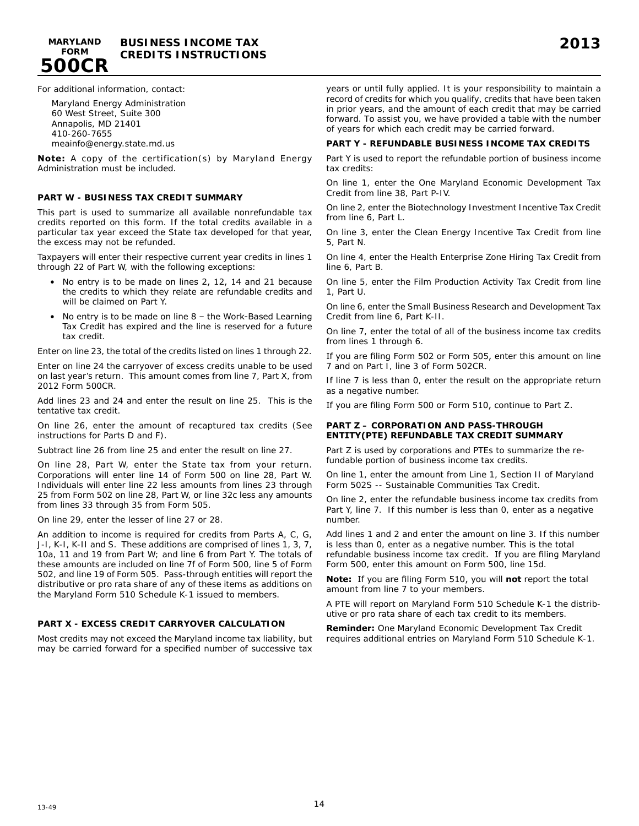

For additional information, contact:

**500CR**

Maryland Energy Administration 60 West Street, Suite 300 Annapolis, MD 21401 410-260-7655 meainfo@energy.state.md.us

**Note:** A copy of the certification(s) by Maryland Energy Administration must be included.

### **PART W - BUSINESS TAX CREDIT SUMMARY**

This part is used to summarize all available nonrefundable tax credits reported on this form. If the total credits available in a particular tax year exceed the State tax developed for that year, the excess may not be refunded.

Taxpayers will enter their respective current year credits in lines 1 through 22 of Part W, with the following exceptions:

- No entry is to be made on lines 2, 12, 14 and 21 because the credits to which they relate are refundable credits and will be claimed on Part Y.
- No entry is to be made on line  $8$  the Work-Based Learning Tax Credit has expired and the line is reserved for a future tax credit.

Enter on line 23, the total of the credits listed on lines 1 through 22.

Enter on line 24 the carryover of excess credits unable to be used on last year's return. This amount comes from line 7, Part X, from 2012 Form 500CR.

Add lines 23 and 24 and enter the result on line 25. This is the tentative tax credit.

On line 26, enter the amount of recaptured tax credits (See instructions for Parts D and F).

Subtract line 26 from line 25 and enter the result on line 27.

On line 28, Part W, enter the State tax from your return. Corporations will enter line 14 of Form 500 on line 28, Part W. Individuals will enter line 22 less amounts from lines 23 through 25 from Form 502 on line 28, Part W, or line 32c less any amounts from lines 33 through 35 from Form 505.

On line 29, enter the lesser of line 27 or 28.

An addition to income is required for credits from Parts A, C, G, J-I, K-I, K-II and S. These additions are comprised of lines 1, 3, 7, 10a, 11 and 19 from Part W; and line 6 from Part Y. The totals of these amounts are included on line 7f of Form 500, line 5 of Form 502, and line 19 of Form 505. Pass-through entities will report the distributive or pro rata share of any of these items as additions on the Maryland Form 510 Schedule K-1 issued to members.

### **PART X - EXCESS CREDIT CARRYOVER CALCULATION**

Most credits may not exceed the Maryland income tax liability, but may be carried forward for a specified number of successive tax years or until fully applied. It is your responsibility to maintain a record of credits for which you qualify, credits that have been taken in prior years, and the amount of each credit that may be carried forward. To assist you, we have provided a table with the number of years for which each credit may be carried forward.

## **PART Y - REFUNDABLE BUSINESS INCOME TAX CREDITS**

Part Y is used to report the refundable portion of business income tax credits:

On line 1, enter the One Maryland Economic Development Tax Credit from line 38, Part P-IV.

On line 2, enter the Biotechnology Investment Incentive Tax Credit from line 6, Part L.

On line 3, enter the Clean Energy Incentive Tax Credit from line 5, Part N.

On line 4, enter the Health Enterprise Zone Hiring Tax Credit from line 6, Part B.

On line 5, enter the Film Production Activity Tax Credit from line 1, Part U.

On line 6, enter the Small Business Research and Development Tax Credit from line 6, Part K-II.

On line 7, enter the total of all of the business income tax credits from lines 1 through 6.

If you are filing Form 502 or Form 505, enter this amount on line 7 and on Part I, line 3 of Form 502CR.

If line 7 is less than 0, enter the result on the appropriate return as a negative number.

If you are filing Form 500 or Form 510, continue to Part Z.

#### **PART Z – CORPORATION AND PASS-THROUGH ENTITY(PTE) REFUNDABLE TAX CREDIT SUMMARY**

Part Z is used by corporations and PTEs to summarize the refundable portion of business income tax credits.

On line 1, enter the amount from Line 1, Section II of Maryland Form 502S -- Sustainable Communities Tax Credit.

On line 2, enter the refundable business income tax credits from Part Y, line 7. If this number is less than 0, enter as a negative number.

Add lines 1 and 2 and enter the amount on line 3. If this number is less than 0, enter as a negative number. This is the total refundable business income tax credit. If you are filing Maryland Form 500, enter this amount on Form 500, line 15d.

**Note:** If you are filing Form 510, you will **not** report the total amount from line 7 to your members.

A PTE will report on Maryland Form 510 Schedule K-1 the distributive or pro rata share of each tax credit to its members.

**Reminder:** One Maryland Economic Development Tax Credit requires additional entries on Maryland Form 510 Schedule K-1.